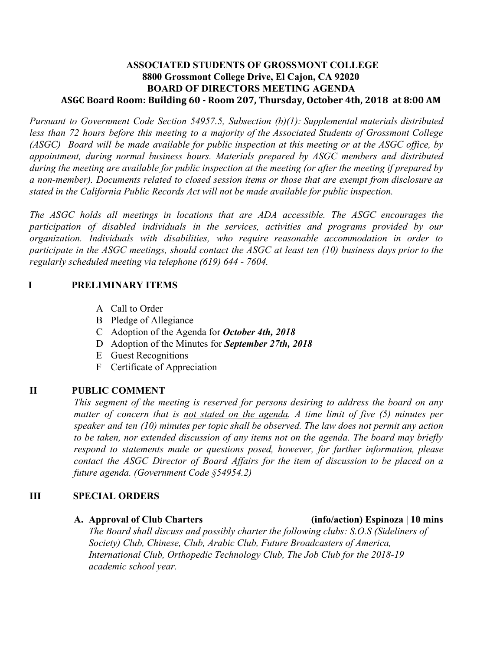## **ASSOCIATED STUDENTS OF GROSSMONT COLLEGE 8800 Grossmont College Drive, El Cajon, CA 92020 BOARD OF DIRECTORS MEETING AGENDA ASGC Board Room: Building 60 - Room 207, Thursday, October 4th, 2018 at 8:00 AM**

*Pursuant to Government Code Section 54957.5, Subsection (b)(1): Supplemental materials distributed less than 72 hours before this meeting to a majority of the Associated Students of Grossmont College* (ASGC) Board will be made available for public inspection at this meeting or at the ASGC office, by *appointment, during normal business hours. Materials prepared by ASGC members and distributed* during the meeting are available for public inspection at the meeting (or after the meeting if prepared by *a non-member). Documents related to closed session items or those that are exempt from disclosure as stated in the California Public Records Act will not be made available for public inspection.* 

*The ASGC holds all meetings in locations that are ADA accessible. The ASGC encourages the participation of disabled individuals in the services, activities and programs provided by our organization. Individuals with disabilities, who require reasonable accommodation in order to* participate in the ASGC meetings, should contact the ASGC at least ten  $(10)$  business days prior to the *regularly scheduled meeting via telephone (619) 644 - 7604.*

## **I PRELIMINARY ITEMS**

- A Call to Order
- B Pledge of Allegiance
- C Adoption of the Agenda for *October 4th, 2018*
- D Adoption of the Minutes for *September 27th, 2018*
- E Guest Recognitions
- F Certificate of Appreciation

### **II PUBLIC COMMENT**

*This segment of the meeting is reserved for persons desiring to address the board on any matter of concern that is not stated on the agenda. A time limit of five (5) minutes per speaker and ten (10) minutes per topic shall be observed. The law does not permit any action to be taken, nor extended discussion of any items not on the agenda. The board may briefly respond to statements made or questions posed, however, for further information, please contact the ASGC Director of Board Affairs for the item of discussion to be placed on a future agenda. (Government Code §54954.2)*

### **III SPECIAL ORDERS**

### **A. Approval of Club Charters (info/action) Espinoza | 10 mins**

*The Board shall discuss and possibly charter the following clubs: S.O.S (Sideliners of Society) Club, Chinese, Club, Arabic Club, Future Broadcasters of America, International Club, Orthopedic Technology Club, The Job Club for the 2018-19 academic school year.*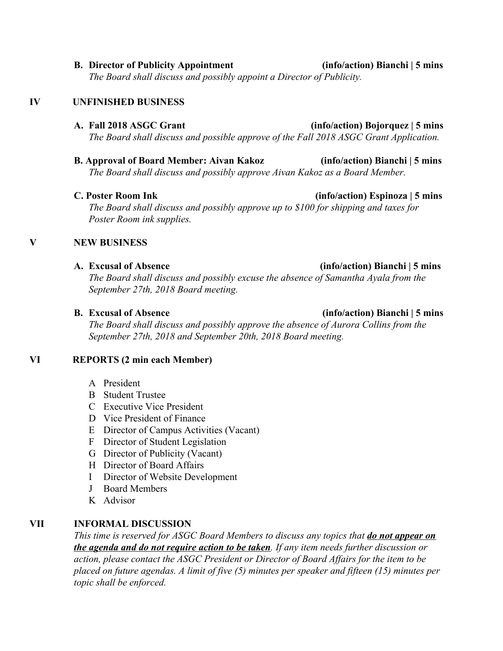**B. Director of Publicity Appointment (info/action) Bianchi | 5 mins** *The Board shall discuss and possibly appoint a Director of Publicity.*

# **IV UNFINISHED BUSINESS**

*The Board shall discuss and possible approve of the Fall 2018 ASGC Grant Application.*

**B. Approval of Board Member: Aivan Kakoz (info/action) Bianchi | 5 mins** *The Board shall discuss and possibly approve Aivan Kakoz as a Board Member.*

## **C. Poster Room Ink (info/action) Espinoza | 5 mins**

*The Board shall discuss and possibly approve up to \$100 for shipping and taxes for Poster Room ink supplies.*

# **V NEW BUSINESS**

## **A. Excusal of Absence (info/action) Bianchi | 5 mins**

*The Board shall discuss and possibly excuse the absence of Samantha Ayala from the September 27th, 2018 Board meeting.*

*The Board shall discuss and possibly approve the absence of Aurora Collins from the September 27th, 2018 and September 20th, 2018 Board meeting.*

# **VI REPORTS (2 min each Member)**

- A President
- B Student Trustee
- C Executive Vice President
- D Vice President of Finance
- E Director of Campus Activities (Vacant)
- F Director of Student Legislation
- G Director of Publicity (Vacant)
- H Director of Board Affairs
- I Director of Website Development
- J Board Members
- K Advisor

# **VII INFORMAL DISCUSSION**

*This time is reserved for ASGC Board Members to discuss any topics that do not appear on the agenda and do not require action to be taken. If any item needs further discussion or action, please contact the ASGC President or Director of Board Affairs for the item to be placed on future agendas. A limit of five (5) minutes per speaker and fifteen (15) minutes per topic shall be enforced.*

## **B. Excusal of Absence (info/action) Bianchi | 5 mins**

# **A. Fall 2018 ASGC Grant (info/action) Bojorquez | 5 mins**